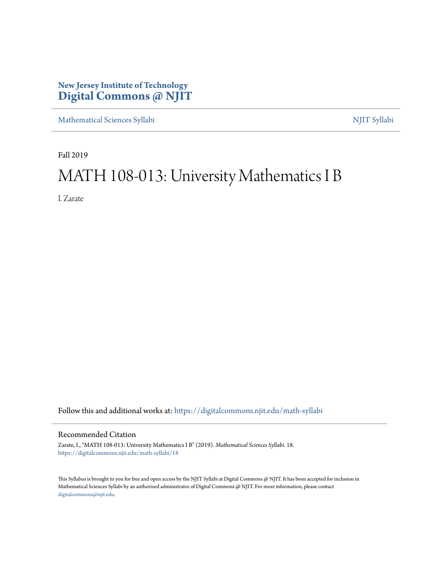## **New Jersey Institute of Technology [Digital Commons @ NJIT](https://digitalcommons.njit.edu/?utm_source=digitalcommons.njit.edu%2Fmath-syllabi%2F18&utm_medium=PDF&utm_campaign=PDFCoverPages)**

[Mathematical Sciences Syllabi](https://digitalcommons.njit.edu/math-syllabi?utm_source=digitalcommons.njit.edu%2Fmath-syllabi%2F18&utm_medium=PDF&utm_campaign=PDFCoverPages) [NJIT Syllabi](https://digitalcommons.njit.edu/syllabi?utm_source=digitalcommons.njit.edu%2Fmath-syllabi%2F18&utm_medium=PDF&utm_campaign=PDFCoverPages)

Fall 2019

# MATH 108-013: University Mathematics I B

I. Zarate

Follow this and additional works at: [https://digitalcommons.njit.edu/math-syllabi](https://digitalcommons.njit.edu/math-syllabi?utm_source=digitalcommons.njit.edu%2Fmath-syllabi%2F18&utm_medium=PDF&utm_campaign=PDFCoverPages)

#### Recommended Citation

Zarate, I., "MATH 108-013: University Mathematics I B" (2019). *Mathematical Sciences Syllabi*. 18. [https://digitalcommons.njit.edu/math-syllabi/18](https://digitalcommons.njit.edu/math-syllabi/18?utm_source=digitalcommons.njit.edu%2Fmath-syllabi%2F18&utm_medium=PDF&utm_campaign=PDFCoverPages)

This Syllabus is brought to you for free and open access by the NJIT Syllabi at Digital Commons @ NJIT. It has been accepted for inclusion in Mathematical Sciences Syllabi by an authorized administrator of Digital Commons @ NJIT. For more information, please contact [digitalcommons@njit.edu](mailto:digitalcommons@njit.edu).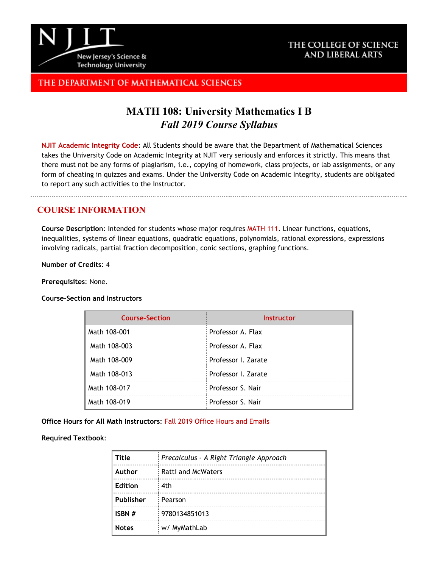

### THE COLLEGE OF SCIENCE AND LIBERAL ARTS

## THE DEPARTMENT OF MATHEMATICAL SCIENCES

## **MATH 108: University Mathematics I B** *Fall 2019 Course Syllabus*

**[NJIT Academic Integrity Code](http://www.njit.edu/policies/sites/policies/files/academic-integrity-code.pdf)**: All Students should be aware that the Department of Mathematical Sciences takes the University Code on Academic Integrity at NJIT very seriously and enforces it strictly. This means that there must not be any forms of plagiarism, i.e., copying of homework, class projects, or lab assignments, or any form of cheating in quizzes and exams. Under the University Code on Academic Integrity, students are obligated to report any such activities to the Instructor.

### **COURSE INFORMATION**

**Course Description**: Intended for students whose major requires [MATH](http://catalog.njit.edu/search/?P=MATH%20111) 111. Linear functions, equations, inequalities, systems of linear equations, quadratic equations, polynomials, rational expressions, expressions involving radicals, partial fraction decomposition, conic sections, graphing functions.

**Number of Credits**: 4

**Prerequisites**: None.

**Course-Section and Instructors**

| <b>Course-Section</b> | <b>Instructor</b>   |
|-----------------------|---------------------|
| Math 108-001          | : Professor A. Flax |
| Math 108-003          | Professor A. Flax   |
| Math 108-009          | Professor I. Zarate |
| Math 108-013          | Professor I. Zarate |
| Math 108-017          | Professor S. Nair   |
| Math 108-019          | Professor S. Nair   |

**Office Hours for All Math Instructors**: [Fall 2019 Office Hours and Emails](http://math.njit.edu/students/officehours.php)

#### **Required Textbook**:

| Title          | Precalculus - A Right Triangle Approach |
|----------------|-----------------------------------------|
| Author         | <b>Ratti and McWaters</b>               |
| <b>Edition</b> | : 4th                                   |
| Publisher      | Pearson                                 |
| ISBN #         | 9780134851013                           |
| <b>Notes</b>   | w/ MyMathLab                            |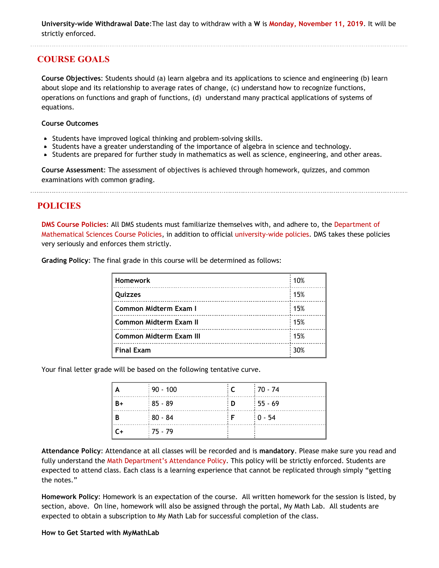**University-wide Withdrawal Date**:The last day to withdraw with a **W** is **[Monday, November 11, 2019](https://www.njit.edu/registrar/fall-2019-academic-calendar/)**. It will be strictly enforced.

## **COURSE GOALS**

**Course Objectives**: Students should (a) learn algebra and its applications to science and engineering (b) learn about slope and its relationship to average rates of change, (c) understand how to recognize functions, operations on functions and graph of functions, (d) understand many practical applications of systems of equations.

#### **Course Outcomes**

- Students have improved logical thinking and problem-solving skills.
- Students have a greater understanding of the importance of algebra in science and technology.
- Students are prepared for further study in mathematics as well as science, engineering, and other areas.

**Course Assessment**: The assessment of objectives is achieved through homework, quizzes, and common examinations with common grading.

**POLICIES**

**[DMS Course Policies](http://math.njit.edu/students/undergraduate/policies_math.php)**: All DMS students must familiarize themselves with, and adhere to, the [Department of](http://math.njit.edu/students/undergraduate/policies_math.php) [Mathematical Sciences Course Policies](http://math.njit.edu/students/undergraduate/policies_math.php), in addition to official [university-wide policies](http://catalog.njit.edu/undergraduate/academic-policies-procedures/). DMS takes these policies very seriously and enforces them strictly.

| <b>Homework</b>                | 10% |
|--------------------------------|-----|
| Quizzes                        | 15% |
| Common Midterm Exam I          | 15% |
| <b>Common Midterm Exam II</b>  | 15% |
| <b>Common Midterm Exam III</b> | 15% |
| <b>Final Exam</b>              | 30% |

**Grading Policy**: The final grade in this course will be determined as follows:

Your final letter grade will be based on the following tentative curve.

|      | $\frac{1}{2}$ 90 - 100 | $\cdot$ C | $170 - 74$ |
|------|------------------------|-----------|------------|
| $B+$ | $185 - 89$             | ∃ D∴      | $155 - 69$ |
| В    | $180 - 84$             |           | $10 - 54$  |
| $C+$ | $:75 - 79$             |           |            |

**Attendance Policy**: Attendance at all classes will be recorded and is **mandatory**. Please make sure you read and fully understand the [Math Department's Attendance Policy.](http://math.njit.edu/students/policies_attendance.php) This policy will be strictly enforced. Students are expected to attend class. Each class is a learning experience that cannot be replicated through simply "getting the notes."

**Homework Policy**: Homework is an expectation of the course. All written homework for the session is listed, by section, above. On line, homework will also be assigned through the portal, My Math Lab. All students are expected to obtain a subscription to My Math Lab for successful completion of the class.

#### **How to Get Started with MyMathLab**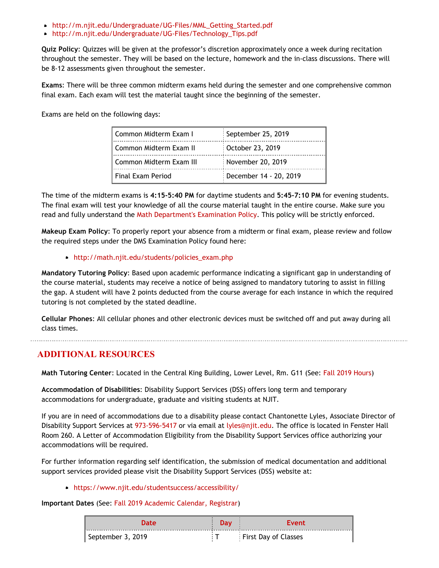- [http://m.njit.edu/Undergraduate/UG-Files/MML\\_Getting\\_Started.pdf](http://m.njit.edu/Undergraduate/UG-Files/MML_Getting_Started.pdf)
- [http://m.njit.edu/Undergraduate/UG-Files/Technology\\_Tips.pdf](http://m.njit.edu/Undergraduate/UG-Files/Technology_Tips.pdf)

**Quiz Policy**: Quizzes will be given at the professor's discretion approximately once a week during recitation throughout the semester. They will be based on the lecture, homework and the in-class discussions. There will be 8-12 assessments given throughout the semester.

**Exams**: There will be three common midterm exams held during the semester and one comprehensive common final exam. Each exam will test the material taught since the beginning of the semester.

Exams are held on the following days:

| Common Midterm Exam I    | September 25, 2019     |
|--------------------------|------------------------|
| Common Midterm Exam II   | October 23, 2019       |
| Common Midterm Exam III  | November 20, 2019      |
| <b>Final Exam Period</b> | December 14 - 20, 2019 |

The time of the midterm exams is **4:15-5:40 PM** for daytime students and **5:45-7:10 PM** for evening students. The final exam will test your knowledge of all the course material taught in the entire course. Make sure you read and fully understand the [Math Department's Examination Policy](http://math.njit.edu/students/policies_exam.php). This policy will be strictly enforced.

**Makeup Exam Policy**: To properly report your absence from a midterm or final exam, please review and follow the required steps under the DMS Examination Policy found here:

#### [http://math.njit.edu/students/policies\\_exam.php](http://math.njit.edu/students/policies_exam.php)

**Mandatory Tutoring Policy**: Based upon academic performance indicating a significant gap in understanding of the course material, students may receive a notice of being assigned to mandatory tutoring to assist in filling the gap. A student will have 2 points deducted from the course average for each instance in which the required tutoring is not completed by the stated deadline.

**Cellular Phones**: All cellular phones and other electronic devices must be switched off and put away during all class times.

### **ADDITIONAL RESOURCES**

**Math Tutoring Center**: Located in the Central King Building, Lower Level, Rm. G11 (See[: Fall 2019 Hours](http://math.njit.edu/students/undergraduate/tutoring_help.php))

**Accommodation of Disabilities**: Disability Support Services (DSS) offers long term and temporary accommodations for undergraduate, graduate and visiting students at NJIT.

If you are in need of accommodations due to a disability please contact Chantonette Lyles, Associate Director of Disability Support Services at [973-596-5417](tel:973-596-5417) or via email at [lyles@njit.edu](mailto:lyles@njit.edu). The office is located in Fenster Hall Room 260. A Letter of Accommodation Eligibility from the Disability Support Services office authorizing your accommodations will be required.

For further information regarding self identification, the submission of medical documentation and additional support services provided please visit the Disability Support Services (DSS) website at:

#### [https://www.njit.edu/studentsuccess/accessibility/](http://www5.njit.edu/studentsuccess/disability-support-services/)

**Important Dates** (See: [Fall 2019 Academic Calendar, Registrar](https://www.njit.edu/registrar/fall-2019-academic-calendar/))

| <b>Date</b>       | Dav | Event                       |
|-------------------|-----|-----------------------------|
| September 3, 2019 |     | <b>First Day of Classes</b> |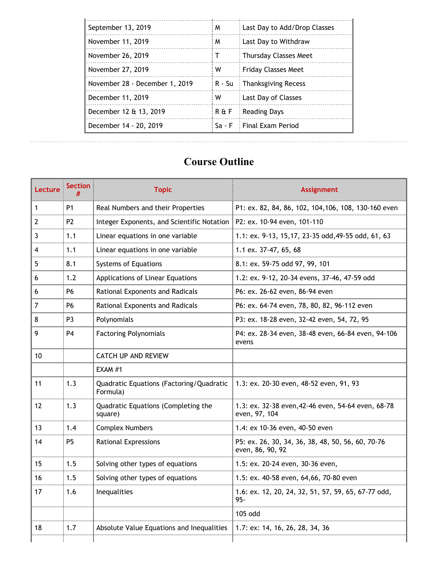| September 13, 2019             | M              | Last Day to Add/Drop Classes |
|--------------------------------|----------------|------------------------------|
| November 11, 2019              | M              | : Last Day to Withdraw       |
| November 26, 2019              | т              | : Thursday Classes Meet      |
| November 27, 2019              | w              | Friday Classes Meet          |
| November 28 - December 1, 2019 | i R - Su       | : Thanksgiving Recess        |
| December 11, 2019              | w              | Last Day of Classes          |
| December 12 & 13, 2019         | <b>R&amp;F</b> | Reading Days                 |
| December 14 - 20, 2019         | Sa - F         | Final Exam Period            |

## **Course Outline**

| Lecture | <b>Section</b><br># | <b>Topic</b>                                         | <b>Assignment</b>                                                     |
|---------|---------------------|------------------------------------------------------|-----------------------------------------------------------------------|
| 1       | P <sub>1</sub>      | Real Numbers and their Properties                    | P1: ex. 82, 84, 86, 102, 104, 106, 108, 130-160 even                  |
| 2       | P <sub>2</sub>      | Integer Exponents, and Scientific Notation           | P2: ex. 10-94 even, 101-110                                           |
|         |                     |                                                      |                                                                       |
| 3       | 1.1                 | Linear equations in one variable                     | 1.1: ex. 9-13, 15, 17, 23-35 odd, 49-55 odd, 61, 63                   |
| 4       | 1.1                 | Linear equations in one variable                     | 1.1 ex. 37-47, 65, 68                                                 |
| 5       | 8.1                 | Systems of Equations                                 | 8.1: ex. 59-75 odd 97, 99, 101                                        |
| 6       | 1.2                 | Applications of Linear Equations                     | 1.2: ex. 9-12, 20-34 evens, 37-46, 47-59 odd                          |
| 6       | P6                  | Rational Exponents and Radicals                      | P6: ex. 26-62 even, 86-94 even                                        |
| 7       | <b>P6</b>           | Rational Exponents and Radicals                      | P6: ex. 64-74 even, 78, 80, 82, 96-112 even                           |
| 8       | P <sub>3</sub>      | Polynomials                                          | P3: ex. 18-28 even, 32-42 even, 54, 72, 95                            |
| 9       | <b>P4</b>           | <b>Factoring Polynomials</b>                         | P4: ex. 28-34 even, 38-48 even, 66-84 even, 94-106<br>evens           |
| 10      |                     | <b>CATCH UP AND REVIEW</b>                           |                                                                       |
|         |                     | EXAM #1                                              |                                                                       |
| 11      | 1.3                 | Quadratic Equations (Factoring/Quadratic<br>Formula) | 1.3: ex. 20-30 even, 48-52 even, 91, 93                               |
| 12      | 1.3                 | Quadratic Equations (Completing the<br>square)       | 1.3: ex. 32-38 even, 42-46 even, 54-64 even, 68-78<br>even, 97, 104   |
| 13      | 1.4                 | <b>Complex Numbers</b>                               | 1.4: ex 10-36 even, 40-50 even                                        |
| 14      | P <sub>5</sub>      | <b>Rational Expressions</b>                          | P5: ex. 26, 30, 34, 36, 38, 48, 50, 56, 60, 70-76<br>even, 86, 90, 92 |
| 15      | 1.5                 | Solving other types of equations                     | 1.5: ex. 20-24 even, 30-36 even,                                      |
| 16      | 1.5                 | Solving other types of equations                     | 1.5: ex. 40-58 even, 64,66, 70-80 even                                |
| 17      | 1.6                 | Inequalities                                         | 1.6: ex. 12, 20, 24, 32, 51, 57, 59, 65, 67-77 odd,<br>$95 -$         |
|         |                     |                                                      | 105 odd                                                               |
| 18      | 1.7                 | Absolute Value Equations and Inequalities            | 1.7: ex: 14, 16, 26, 28, 34, 36                                       |
|         |                     |                                                      |                                                                       |